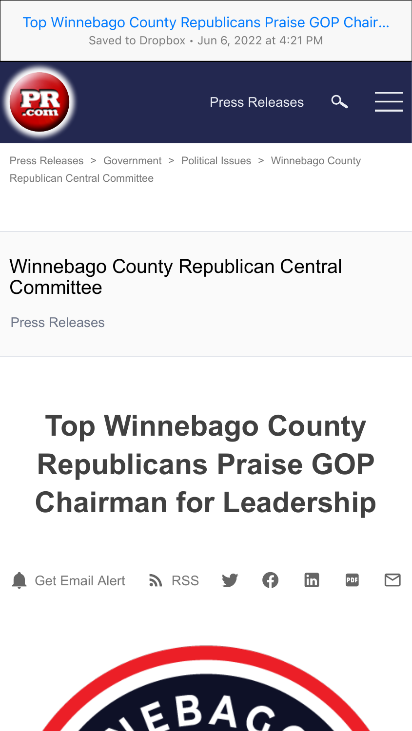### Top Winnebago County Republicans Praise GOP Chair…

Saved to Dropbox • Jun 6, 2022 at 4:21 PM



Press Releases



[Press Releases](https://www.pr.com/press-releases) > [Government](https://www.pr.com/news-by-category/54) > [Political Issues](https://www.pr.com/news-by-category/256) > Winnebago County [Republican Central Committee](https://www.pr.com/company-profile/press-releases/508761)

## Winnebago County Republican Central **Committee**

[Press Releases](https://www.pr.com/company-profile/press-releases/508761)

# **Top Winnebago County Republicans Praise GOP Chairman for Leadership**



[Get Email Alert](https://admin.pr.com/user_press.php?add=1&subscriptionid=508761) **N** [RSS](https://www.pr.com/rss/press-releases-2/508761.xml)  $\mathsf{lin}\mathsf{l}$ PDF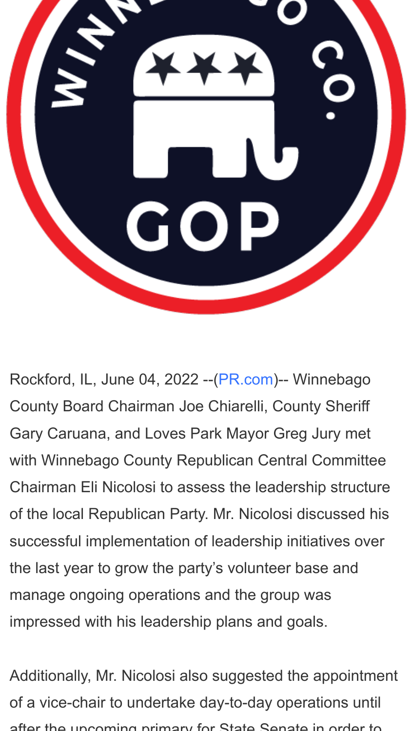

Rockford, IL, June 04, 2022 --[\(PR.com\)](https://www.pr.com/)-- Winnebago County Board Chairman Joe Chiarelli, County Sheriff Gary Caruana, and Loves Park Mayor Greg Jury met with Winnebago County Republican Central Committee Chairman Eli Nicolosi to assess the leadership structure of the local Republican Party. Mr. Nicolosi discussed his successful implementation of leadership initiatives over the last year to grow the party's volunteer base and manage ongoing operations and the group was impressed with his leadership plans and goals.

Additionally, Mr. Nicolosi also suggested the appointment of a vice-chair to undertake day-to-day operations until after the upcoming primary for State Senate in order to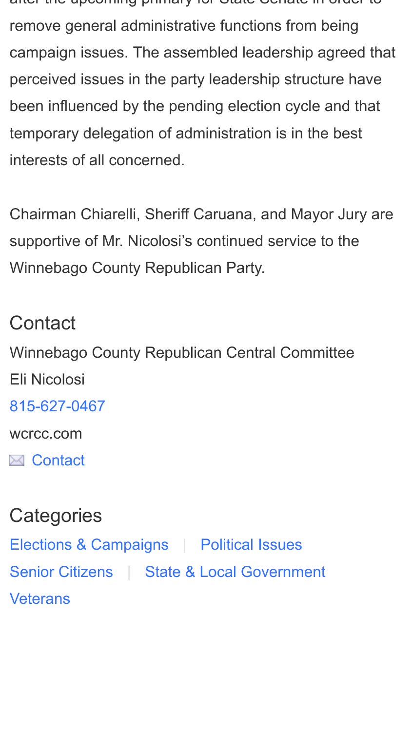after the upcoming primary for State Senate in order to remove general administrative functions from being campaign issues. The assembled leadership agreed that perceived issues in the party leadership structure have been influenced by the pending election cycle and that temporary delegation of administration is in the best interests of all concerned.

Chairman Chiarelli, Sheriff Caruana, and Mayor Jury are supportive of Mr. Nicolosi's continued service to the Winnebago County Republican Party.

## **Contact**

Winnebago County Republican Central Committee Eli Nicolosi [815-627-0467](tel:815-627-0467) wcrcc.com

**E** [Contact](https://www.pr.com/press-release/862755/contact)

## **Categories**

[Elections & Campaigns](https://www.pr.com/news-by-category/139) | [Political Issues](https://www.pr.com/news-by-category/256) [Senior Citizens](https://www.pr.com/news-by-category/149) | [State & Local Government](https://www.pr.com/news-by-category/224) **[Veterans](https://www.pr.com/news-by-category/215)**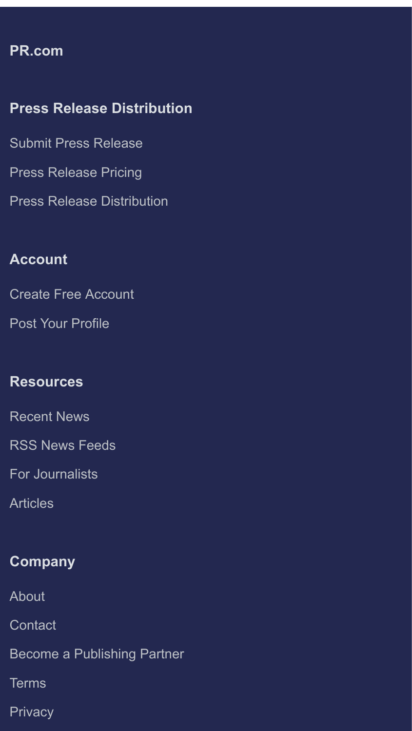#### **[PR.com](https://www.pr.com/)**

#### **Press Release Distribution**

[Submit Press Release](https://admin.pr.com/create-account)

[Press Release Pricing](https://www.pr.com/press-release-pricing)

[Press Release Distribution](https://www.pr.com/press-release-distribution)

#### **Account**

[Create Free Account](https://admin.pr.com/create-account)

[Post Your Profile](https://www.pr.com/business-profiles)

#### **Resources**

[Recent News](https://www.pr.com/press-releases)

[RSS News Feeds](https://www.pr.com/rss-feeds)

[For Journalists](https://www.pr.com/get-press-release-alerts)

[Articles](https://www.pr.com/articles)

#### **Company**

[About](https://www.pr.com/about)

**[Contact](https://www.pr.com/contact)** 

[Become a Publishing Partner](https://www.pr.com/content-partnership)

**[Terms](https://www.pr.com/terms-of-use)** 

**[Privacy](https://www.pr.com/privacy-policy)**